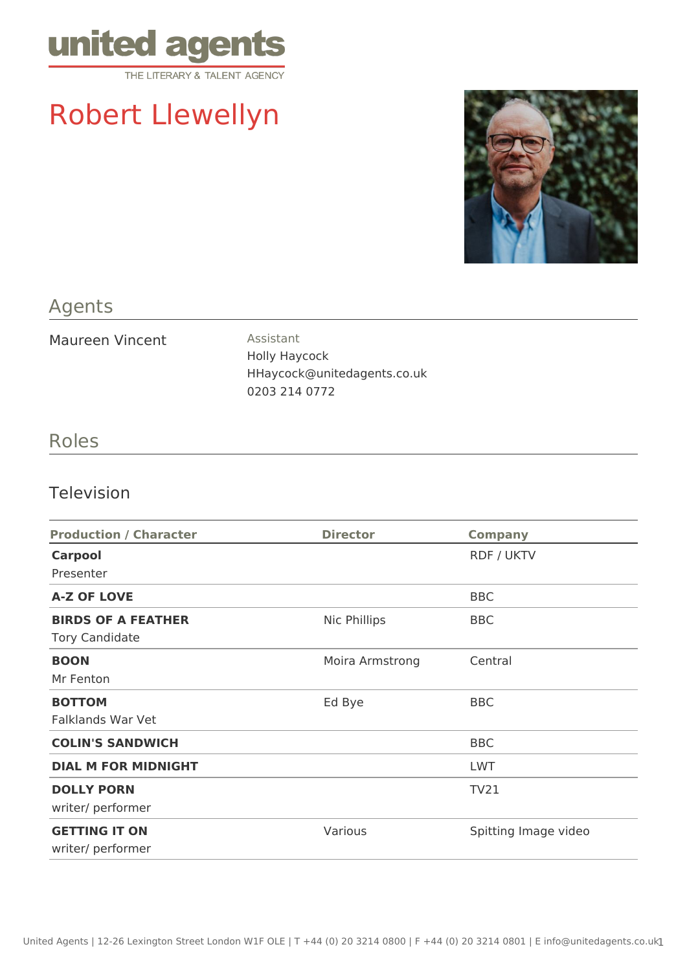

# Robert Llewellyn



## Agents

Maureen Vincent Assistant

Holly Haycock HHaycock@unitedagents.co.uk 0203 214 0772

### Roles

#### Television

| <b>Production / Character</b> | <b>Director</b> | <b>Company</b>       |
|-------------------------------|-----------------|----------------------|
| <b>Carpool</b>                |                 | <b>RDF / UKTV</b>    |
| Presenter                     |                 |                      |
| <b>A-Z OF LOVE</b>            |                 | <b>BBC</b>           |
| <b>BIRDS OF A FEATHER</b>     | Nic Phillips    | <b>BBC</b>           |
| <b>Tory Candidate</b>         |                 |                      |
| <b>BOON</b>                   | Moira Armstrong | Central              |
| Mr Fenton                     |                 |                      |
| <b>BOTTOM</b>                 | Ed Bye          | <b>BBC</b>           |
| <b>Falklands War Vet</b>      |                 |                      |
| <b>COLIN'S SANDWICH</b>       |                 | <b>BBC</b>           |
| <b>DIAL M FOR MIDNIGHT</b>    |                 | <b>LWT</b>           |
| <b>DOLLY PORN</b>             |                 | <b>TV21</b>          |
| writer/ performer             |                 |                      |
| <b>GETTING IT ON</b>          | Various         | Spitting Image video |
| writer/ performer             |                 |                      |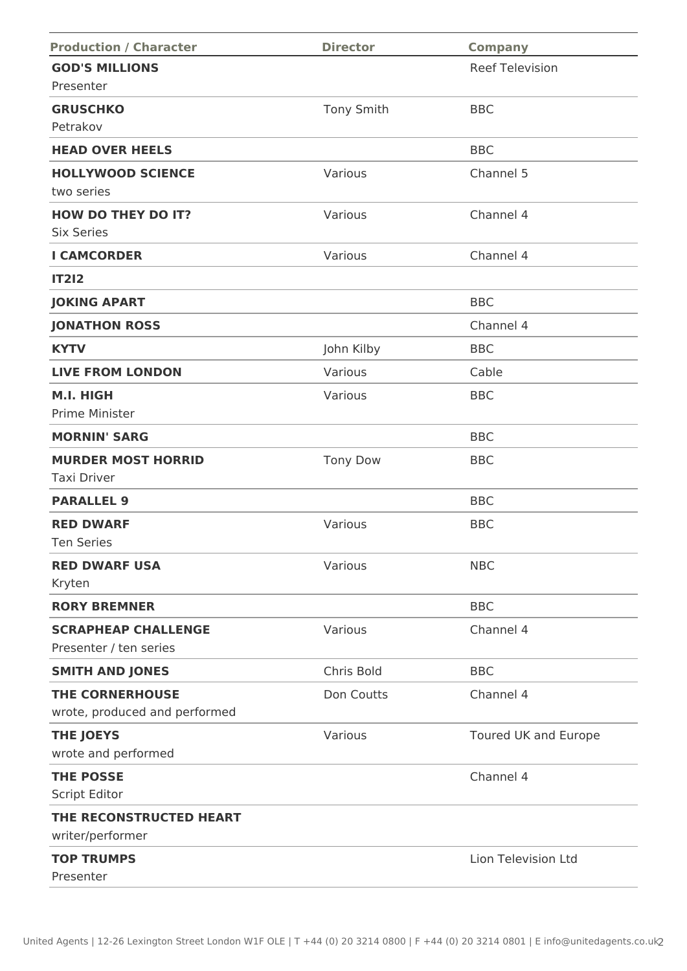| <b>Production / Character</b>               | <b>Director</b>   | <b>Company</b>         |
|---------------------------------------------|-------------------|------------------------|
| <b>GOD'S MILLIONS</b>                       |                   | <b>Reef Television</b> |
| Presenter                                   |                   |                        |
| <b>GRUSCHKO</b>                             | <b>Tony Smith</b> | <b>BBC</b>             |
| Petrakov                                    |                   |                        |
| <b>HEAD OVER HEELS</b>                      |                   | <b>BBC</b>             |
| <b>HOLLYWOOD SCIENCE</b>                    | Various           | Channel 5              |
| two series                                  |                   |                        |
| <b>HOW DO THEY DO IT?</b>                   | Various           | Channel 4              |
| <b>Six Series</b>                           |                   |                        |
| <b>I CAMCORDER</b>                          | Various           | Channel 4              |
| <b>IT212</b>                                |                   |                        |
| <b>JOKING APART</b>                         |                   | <b>BBC</b>             |
| <b>JONATHON ROSS</b>                        |                   | Channel 4              |
| <b>KYTV</b>                                 | John Kilby        | <b>BBC</b>             |
| <b>LIVE FROM LONDON</b>                     | Various           | Cable                  |
| M.I. HIGH                                   | Various           | <b>BBC</b>             |
| Prime Minister                              |                   |                        |
| <b>MORNIN' SARG</b>                         |                   | <b>BBC</b>             |
| <b>MURDER MOST HORRID</b>                   | <b>Tony Dow</b>   | <b>BBC</b>             |
| <b>Taxi Driver</b>                          |                   |                        |
| <b>PARALLEL 9</b>                           |                   | <b>BBC</b>             |
| <b>RED DWARF</b>                            | Various           | <b>BBC</b>             |
| <b>Ten Series</b>                           |                   |                        |
| <b>RED DWARF USA</b>                        | Various           | <b>NBC</b>             |
| Kryten                                      |                   |                        |
| <b>RORY BREMNER</b>                         |                   | <b>BBC</b>             |
| <b>SCRAPHEAP CHALLENGE</b>                  | Various           | Channel 4              |
| Presenter / ten series                      |                   |                        |
| <b>SMITH AND JONES</b>                      | Chris Bold        | <b>BBC</b>             |
| <b>THE CORNERHOUSE</b>                      | Don Coutts        | Channel 4              |
| wrote, produced and performed               |                   |                        |
| <b>THE JOEYS</b>                            | Various           | Toured UK and Europe   |
| wrote and performed                         |                   |                        |
| <b>THE POSSE</b>                            |                   | Channel 4              |
| Script Editor                               |                   |                        |
| THE RECONSTRUCTED HEART<br>writer/performer |                   |                        |
| <b>TOP TRUMPS</b>                           |                   | Lion Television Ltd    |
| Presenter                                   |                   |                        |
|                                             |                   |                        |